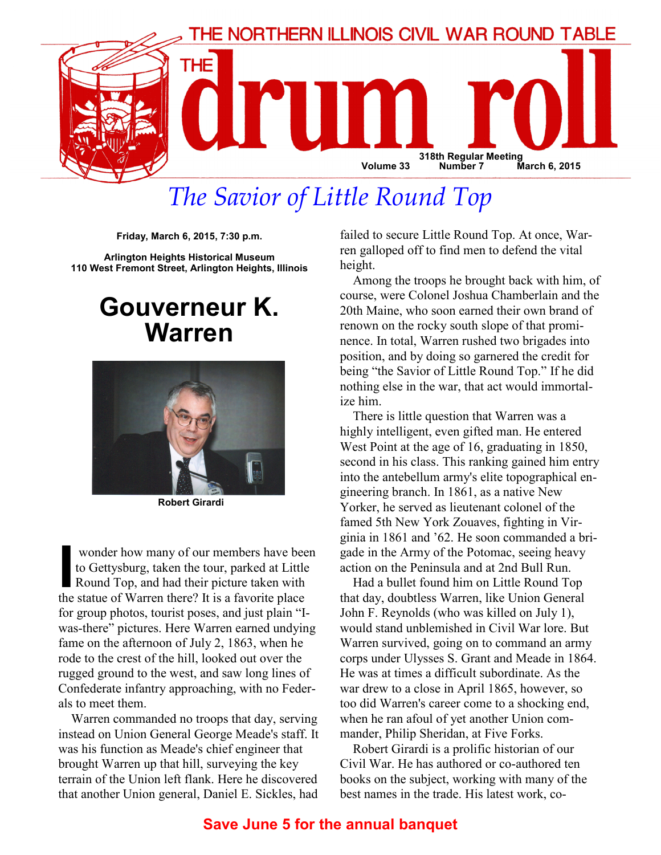

# The Savior of Little Round Top

Friday, March 6, 2015, 7:30 p.m.

Arlington Heights Historical Museum 110 West Fremont Street, Arlington Heights, Illinois

### Gouverneur K. Warren



Robert Girardi

**I wonder how many of our members have been<br>to Gettysburg, taken the tour, parked at Little<br>Round Top, and had their picture taken with<br>the statue of Warren there? It is a favorite place** to Gettysburg, taken the tour, parked at Little Round Top, and had their picture taken with the statue of Warren there? It is a favorite place for group photos, tourist poses, and just plain "Iwas-there" pictures. Here Warren earned undying fame on the afternoon of July 2, 1863, when he rode to the crest of the hill, looked out over the rugged ground to the west, and saw long lines of Confederate infantry approaching, with no Federals to meet them.

Warren commanded no troops that day, serving instead on Union General George Meade's staff. It was his function as Meade's chief engineer that brought Warren up that hill, surveying the key terrain of the Union left flank. Here he discovered that another Union general, Daniel E. Sickles, had

failed to secure Little Round Top. At once, Warren galloped off to find men to defend the vital height.

Among the troops he brought back with him, of course, were Colonel Joshua Chamberlain and the 20th Maine, who soon earned their own brand of renown on the rocky south slope of that prominence. In total, Warren rushed two brigades into position, and by doing so garnered the credit for being "the Savior of Little Round Top." If he did nothing else in the war, that act would immortalize him.

There is little question that Warren was a highly intelligent, even gifted man. He entered West Point at the age of 16, graduating in 1850, second in his class. This ranking gained him entry into the antebellum army's elite topographical engineering branch. In 1861, as a native New Yorker, he served as lieutenant colonel of the famed 5th New York Zouaves, fighting in Virginia in 1861 and '62. He soon commanded a brigade in the Army of the Potomac, seeing heavy action on the Peninsula and at 2nd Bull Run.

Had a bullet found him on Little Round Top that day, doubtless Warren, like Union General John F. Reynolds (who was killed on July 1), would stand unblemished in Civil War lore. But Warren survived, going on to command an army corps under Ulysses S. Grant and Meade in 1864. He was at times a difficult subordinate. As the war drew to a close in April 1865, however, so too did Warren's career come to a shocking end, when he ran afoul of yet another Union commander, Philip Sheridan, at Five Forks.

Robert Girardi is a prolific historian of our Civil War. He has authored or co-authored ten books on the subject, working with many of the best names in the trade. His latest work, co-

#### Save June 5 for the annual banquet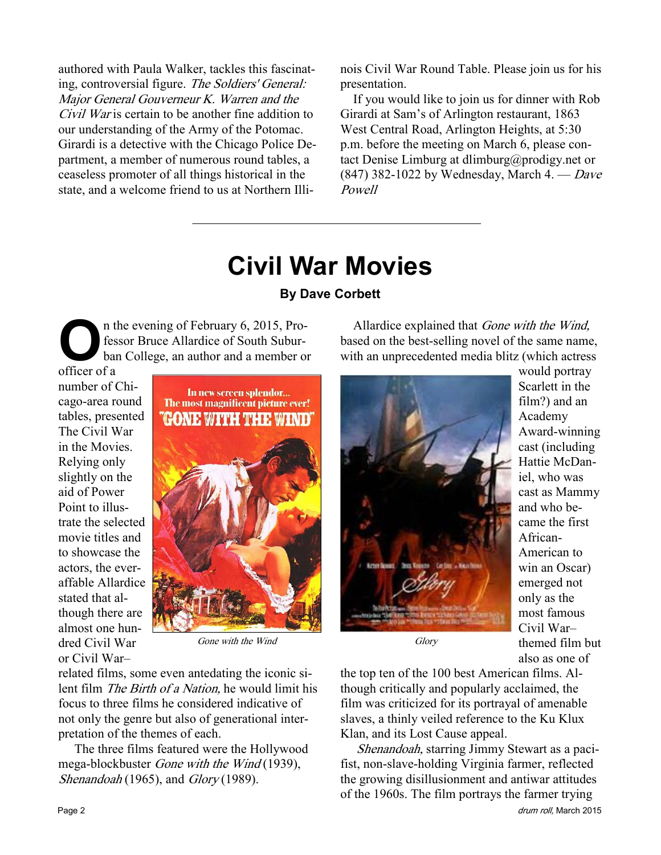authored with Paula Walker, tackles this fascinating, controversial figure. The Soldiers' General: Major General Gouverneur K. Warren and the Civil War is certain to be another fine addition to our understanding of the Army of the Potomac. Girardi is a detective with the Chicago Police Department, a member of numerous round tables, a ceaseless promoter of all things historical in the state, and a welcome friend to us at Northern Illinois Civil War Round Table. Please join us for his presentation.

If you would like to join us for dinner with Rob Girardi at Sam's of Arlington restaurant, 1863 West Central Road, Arlington Heights, at 5:30 p.m. before the meeting on March 6, please contact Denise Limburg at dlimburg@prodigy.net or  $(847)$  382-1022 by Wednesday, March 4. — Dave Powell

# Civil War Movies

#### By Dave Corbett

n the evening of February 6, 2015, Professor Bruce Allardice of South Suburban College, an author and a member or

officer of a number of Chicago-area round tables, presented The Civil War in the Movies. Relying only slightly on the aid of Power Point to illustrate the selected movie titles and to showcase the actors, the everaffable Allardice stated that although there are almost one hundred Civil War or Civil War–



Gone with the Wind

related films, some even antedating the iconic silent film The Birth of a Nation, he would limit his focus to three films he considered indicative of not only the genre but also of generational interpretation of the themes of each.

 The three films featured were the Hollywood mega-blockbuster Gone with the Wind (1939), Shenandoah (1965), and Glory (1989).

Allardice explained that *Gone with the Wind*, based on the best-selling novel of the same name, with an unprecedented media blitz (which actress



would portray Scarlett in the film?) and an Academy Award-winning cast (including Hattie McDaniel, who was cast as Mammy and who became the first African-American to win an Oscar) emerged not only as the most famous Civil War– themed film but also as one of

**Glory** 

the top ten of the 100 best American films. Although critically and popularly acclaimed, the film was criticized for its portrayal of amenable slaves, a thinly veiled reference to the Ku Klux Klan, and its Lost Cause appeal.

Shenandoah, starring Jimmy Stewart as a pacifist, non-slave-holding Virginia farmer, reflected the growing disillusionment and antiwar attitudes of the 1960s. The film portrays the farmer trying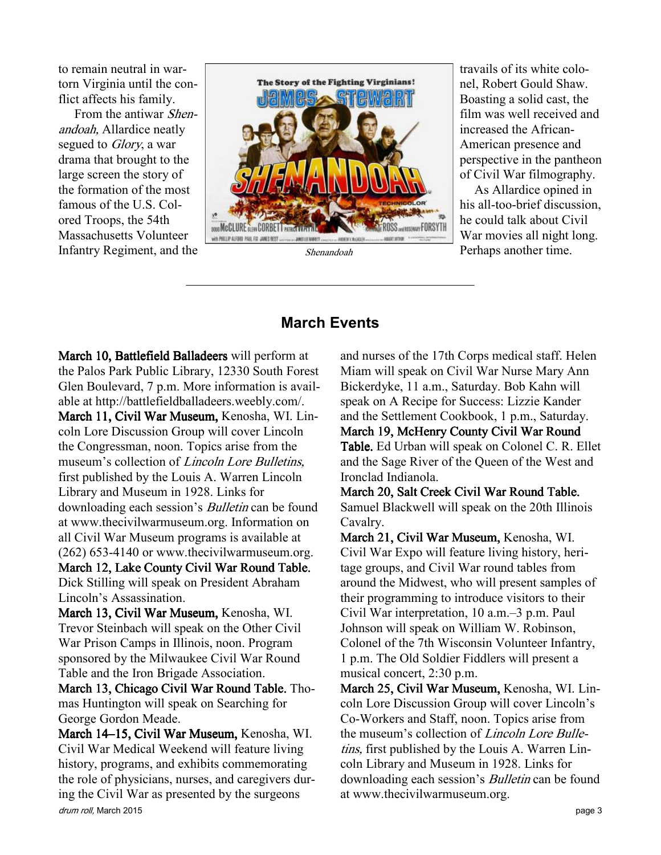to remain neutral in wartorn Virginia until the conflict affects his family.

 From the antiwar Shenandoah, Allardice neatly segued to *Glory*, a war drama that brought to the large screen the story of the formation of the most famous of the U.S. Colored Troops, the 54th Massachusetts Volunteer Infantry Regiment, and the



Shenandoah

travails of its white colonel, Robert Gould Shaw. Boasting a solid cast, the film was well received and increased the African-American presence and perspective in the pantheon of Civil War filmography.

 As Allardice opined in his all-too-brief discussion, he could talk about Civil War movies all night long. Perhaps another time.

#### March Events

March 10, Battlefield Balladeers will perform at the Palos Park Public Library, 12330 South Forest Glen Boulevard, 7 p.m. More information is available at http://battlefieldballadeers.weebly.com/.

March 11, Civil War Museum, Kenosha, WI. Lincoln Lore Discussion Group will cover Lincoln the Congressman, noon. Topics arise from the museum's collection of *Lincoln Lore Bulletins*, first published by the Louis A. Warren Lincoln Library and Museum in 1928. Links for downloading each session's Bulletin can be found at www.thecivilwarmuseum.org. Information on all Civil War Museum programs is available at (262) 653-4140 or www.thecivilwarmuseum.org. March 12, Lake County Civil War Round Table. Dick Stilling will speak on President Abraham

Lincoln's Assassination.

March 13, Civil War Museum, Kenosha, WI. Trevor Steinbach will speak on the Other Civil War Prison Camps in Illinois, noon. Program sponsored by the Milwaukee Civil War Round Table and the Iron Brigade Association.

March 13, Chicago Civil War Round Table. Thomas Huntington will speak on Searching for George Gordon Meade.

drum roll, March 2015 **page 3** March 14–15, Civil War Museum, Kenosha, WI. Civil War Medical Weekendwill feature living history, programs, and exhibits commemorating the role of physicians, nurses, and caregivers during the Civil War as presented by the surgeons

and nurses of the 17th Corps medical staff. Helen Miam will speak on Civil War Nurse Mary Ann Bickerdyke, 11 a.m., Saturday. Bob Kahn will speak on A Recipe for Success: Lizzie Kander and the Settlement Cookbook, 1 p.m., Saturday. March 19, McHenry County Civil War Round Table. Ed Urban will speak on Colonel C. R. Ellet and the Sage River of the Queen of the West and Ironclad Indianola.

March 20, Salt Creek Civil War Round Table. Samuel Blackwell will speak on the 20th Illinois Cavalry.

March 21, Civil War Museum, Kenosha, WI. Civil War Expo will feature living history, heritage groups, and Civil War round tables from around the Midwest, who will present samples of their programming to introduce visitors to their Civil War interpretation, 10 a.m.–3 p.m. Paul Johnson will speak on William W. Robinson, Colonel of the 7th Wisconsin Volunteer Infantry, 1 p.m. The Old Soldier Fiddlers will present a musical concert, 2:30 p.m.

March 25, Civil War Museum, Kenosha, WI. Lincoln Lore Discussion Group will cover Lincoln's Co-Workers and Staff, noon. Topics arise from the museum's collection of Lincoln Lore Bulletins, first published by the Louis A. Warren Lincoln Library and Museum in 1928. Links for downloading each session's Bulletin can be found at www.thecivilwarmuseum.org.